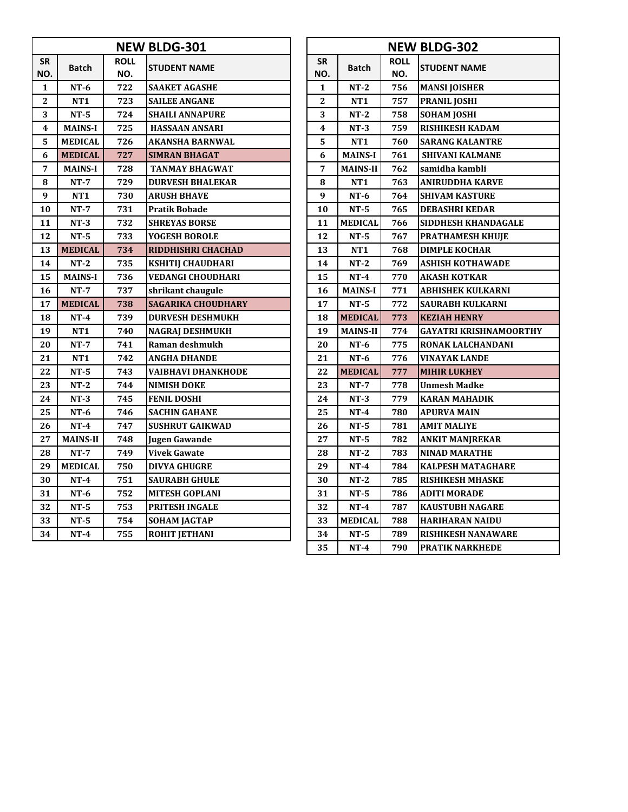|                  |                 |                    | <b>NEW BLDG-301</b>       | <b>NEW BLDG-302</b> |                 |                    |                               |  |
|------------------|-----------------|--------------------|---------------------------|---------------------|-----------------|--------------------|-------------------------------|--|
| <b>SR</b><br>NO. | <b>Batch</b>    | <b>ROLL</b><br>NO. | <b>STUDENT NAME</b>       | <b>SR</b><br>NO.    | <b>Batch</b>    | <b>ROLL</b><br>NO. | <b>STUDENT NAME</b>           |  |
| $\mathbf{1}$     | $NT-6$          | 722                | SAAKET AGASHE             | $\mathbf{1}$        | $NT-2$          | 756                | <b>MANSI JOISHER</b>          |  |
| 2                | NT <sub>1</sub> | 723                | <b>SAILEE ANGANE</b>      | 2                   | <b>NT1</b>      | 757                | <b>PRANIL JOSHI</b>           |  |
| 3                | $NT-5$          | 724                | SHAILI ANNAPURE           | 3                   | $NT-2$          | 758                | <b>SOHAM JOSHI</b>            |  |
| 4                | <b>MAINS-I</b>  | 725                | <b>HASSAAN ANSARI</b>     | 4                   | $NT-3$          | 759                | <b>RISHIKESH KADAM</b>        |  |
| 5                | <b>MEDICAL</b>  | 726                | AKANSHA BARNWAL           | 5                   | NT <sub>1</sub> | 760                | <b>SARANG KALANTRE</b>        |  |
| 6                | <b>MEDICAL</b>  | 727                | SIMRAN BHAGAT             | 6                   | <b>MAINS-I</b>  | 761                | <b>SHIVANI KALMANE</b>        |  |
| 7                | <b>MAINS-I</b>  | 728                | <b>TANMAY BHAGWAT</b>     | 7                   | <b>MAINS-II</b> | 762                | samidha kambli                |  |
| 8                | $NT-7$          | 729                | DURVESH BHALEKAR          | 8                   | NT <sub>1</sub> | 763                | ANIRUDDHA KARVE               |  |
| 9                | NT <sub>1</sub> | 730                | ARUSH BHAVE               | 9                   | $NT-6$          | 764                | <b>SHIVAM KASTURE</b>         |  |
| 10               | $NT-7$          | 731                | Pratik Bobade             | 10                  | $NT-5$          | 765                | <b>DEBASHRI KEDAR</b>         |  |
| 11               | $NT-3$          | 732                | <b>SHREYAS BORSE</b>      | 11                  | <b>MEDICAL</b>  | 766                | <b>SIDDHESH KHANDAGALE</b>    |  |
| 12               | $NT-5$          | 733                | YOGESH BOROLE             | 12                  | $NT-5$          | 767                | <b>PRATHAMESH KHUJE</b>       |  |
| 13               | <b>MEDICAL</b>  | 734                | RIDDHISHRI CHACHAD        | 13                  | NT <sub>1</sub> | 768                | <b>DIMPLE KOCHAR</b>          |  |
| 14               | $NT-2$          | 735                | <b>KSHITIJ CHAUDHARI</b>  | 14                  | $NT-2$          | 769                | <b>ASHISH KOTHAWADE</b>       |  |
| 15               | <b>MAINS-I</b>  | 736                | VEDANGI CHOUDHARI         | 15                  | $NT-4$          | 770                | <b>AKASH KOTKAR</b>           |  |
| 16               | $NT-7$          | 737                | shrikant chaugule         | 16                  | <b>MAINS-I</b>  | 771                | <b>ABHISHEK KULKARNI</b>      |  |
| 17               | <b>MEDICAL</b>  | 738                | <b>SAGARIKA CHOUDHARY</b> | 17                  | $NT-5$          | 772                | <b>SAURABH KULKARNI</b>       |  |
| 18               | $NT-4$          | 739                | <b>DURVESH DESHMUKH</b>   | 18                  | <b>MEDICAL</b>  | 773                | <b>KEZIAH HENRY</b>           |  |
| 19               | NT <sub>1</sub> | 740                | <b>NAGRAJ DESHMUKH</b>    | 19                  | <b>MAINS-II</b> | 774                | <b>GAYATRI KRISHNAMOORTHY</b> |  |
| 20               | $NT-7$          | 741                | Raman deshmukh            | 20                  | $NT-6$          | 775                | RONAK LALCHANDANI             |  |
| 21               | NT <sub>1</sub> | 742                | ANGHA DHANDE              | 21                  | $NT-6$          | 776                | VINAYAK LANDE                 |  |
| 22               | $NT-5$          | 743                | VAIBHAVI DHANKHODE        | 22                  | <b>MEDICAL</b>  | 777                | <b>MIHIR LUKHEY</b>           |  |
| 23               | $NT-2$          | 744                | NIMISH DOKE               | 23                  | $NT-7$          | 778                | <b>Unmesh Madke</b>           |  |
| 24               | $NT-3$          | 745                | <b>FENIL DOSHI</b>        | 24                  | $NT-3$          | 779                | <b>KARAN MAHADIK</b>          |  |
| 25               | $NT-6$          | 746                | <b>SACHIN GAHANE</b>      | 25                  | $NT-4$          | 780                | <b>APURVA MAIN</b>            |  |
| 26               | $NT-4$          | 747                | <b>SUSHRUT GAIKWAD</b>    | 26                  | $NT-5$          | 781                | AMIT MALIYE                   |  |
| 27               | <b>MAINS-II</b> | 748                | <b>Jugen Gawande</b>      | 27                  | $NT-5$          | 782                | <b>ANKIT MANJREKAR</b>        |  |
| 28               | $NT-7$          | 749                | Vivek Gawate              | 28                  | $NT-2$          | 783                | <b>NINAD MARATHE</b>          |  |
| 29               | <b>MEDICAL</b>  | 750                | <b>DIVYA GHUGRE</b>       | 29                  | $NT-4$          | 784                | <b>KALPESH MATAGHARE</b>      |  |
| 30               | $NT-4$          | 751                | <b>SAURABH GHULE</b>      | 30                  | $NT-2$          | 785                | <b>RISHIKESH MHASKE</b>       |  |
| 31               | $NT-6$          | 752                | <b>MITESH GOPLANI</b>     | 31                  | $NT-5$          | 786                | <b>ADITI MORADE</b>           |  |
| 32               | $NT-5$          | 753                | PRITESH INGALE            | 32                  | $NT-4$          | 787                | <b>KAUSTUBH NAGARE</b>        |  |
| 33               | $NT-5$          | 754                | <b>SOHAM JAGTAP</b>       | 33                  | <b>MEDICAL</b>  | 788                | <b>HARIHARAN NAIDU</b>        |  |
| 34               | $NT-4$          | 755                | <b>ROHIT JETHANI</b>      | 34                  | $NT-5$          | 789                | <b>RISHIKESH NANAWARE</b>     |  |

|                | <b>NEW BLDG-302</b> |             |                               |  |  |  |  |  |  |  |  |  |
|----------------|---------------------|-------------|-------------------------------|--|--|--|--|--|--|--|--|--|
| <b>SR</b>      | Batch               | <b>ROLL</b> | <b>STUDENT NAME</b>           |  |  |  |  |  |  |  |  |  |
| NO.            |                     | NO.         |                               |  |  |  |  |  |  |  |  |  |
| 1              | $NT-2$              | 756         | <b>MANSI JOISHER</b>          |  |  |  |  |  |  |  |  |  |
| $\overline{2}$ | NT1                 | 757         | PRANIL JOSHI                  |  |  |  |  |  |  |  |  |  |
| 3              | $NT-2$              | 758         | SOHAM JOSHI                   |  |  |  |  |  |  |  |  |  |
| 4              | NT-3                | 759         | RISHIKESH KADAM               |  |  |  |  |  |  |  |  |  |
| 5              | NT <sub>1</sub>     | 760         | <b>SARANG KALANTRE</b>        |  |  |  |  |  |  |  |  |  |
| 6              | <b>MAINS-I</b>      | 761         | <b>SHIVANI KALMANE</b>        |  |  |  |  |  |  |  |  |  |
| 7              | MAINS-II            | 762         | samidha kambli                |  |  |  |  |  |  |  |  |  |
| 8              | NT <sub>1</sub>     | 763         | ANIRUDDHA KARVE               |  |  |  |  |  |  |  |  |  |
| 9              | NT-6                | 764         | SHIVAM KASTURE                |  |  |  |  |  |  |  |  |  |
| 10             | NT-5                | 765         | <b>DEBASHRI KEDAR</b>         |  |  |  |  |  |  |  |  |  |
| 11             | <b>MEDICAL</b>      | 766         | SIDDHESH KHANDAGALE           |  |  |  |  |  |  |  |  |  |
| 12             | $NT-5$              | 767         | PRATHAMESH KHUJE              |  |  |  |  |  |  |  |  |  |
| 13             | NT1                 | 768         | <b>DIMPLE KOCHAR</b>          |  |  |  |  |  |  |  |  |  |
| 14             | $NT-2$              | 769         | ASHISH KOTHAWADE              |  |  |  |  |  |  |  |  |  |
| 15             | $NT-4$              | 770         | AKASH KOTKAR                  |  |  |  |  |  |  |  |  |  |
| 16             | <b>MAINS-I</b>      | 771         | ABHISHEK KULKARNI             |  |  |  |  |  |  |  |  |  |
| 17             | NT-5                | 772         | SAURABH KULKARNI              |  |  |  |  |  |  |  |  |  |
| 18             | <b>MEDICAL</b>      | 773         | <b>KEZIAH HENRY</b>           |  |  |  |  |  |  |  |  |  |
| 19             | <b>MAINS-II</b>     | 774         | <b>GAYATRI KRISHNAMOORTHY</b> |  |  |  |  |  |  |  |  |  |
| 20             | $NT-6$              | 775         | RONAK LALCHANDANI             |  |  |  |  |  |  |  |  |  |
| 21             | $NT-6$              | 776         | <b>VINAYAK LANDE</b>          |  |  |  |  |  |  |  |  |  |
| 22             | <b>MEDICAL</b>      | 777         | <b>MIHIR LUKHEY</b>           |  |  |  |  |  |  |  |  |  |
| 23             | $NT-7$              | 778         | <b>Unmesh Madke</b>           |  |  |  |  |  |  |  |  |  |
| 24             | $NT-3$              | 779         | <b>KARAN MAHADIK</b>          |  |  |  |  |  |  |  |  |  |
| 25             | NT-4                | 780         | <b>APURVA MAIN</b>            |  |  |  |  |  |  |  |  |  |
| 26             | $NT-5$              | 781         | <b>AMIT MALIYE</b>            |  |  |  |  |  |  |  |  |  |
| 27             | NT-5                | 782         | <b>ANKIT MANJREKAR</b>        |  |  |  |  |  |  |  |  |  |
| 28             | NT-2                | 783         | <b>NINAD MARATHE</b>          |  |  |  |  |  |  |  |  |  |
| 29             | NT-4                | 784         | KALPESH MATAGHARE             |  |  |  |  |  |  |  |  |  |
| 30             | $NT-2$              | 785         | <b>RISHIKESH MHASKE</b>       |  |  |  |  |  |  |  |  |  |
| 31             | $NT-5$              | 786         | ADITI MORADE                  |  |  |  |  |  |  |  |  |  |
| 32             | $NT-4$              | 787         | KAUSTUBH NAGARE               |  |  |  |  |  |  |  |  |  |
| 33             | <b>MEDICAL</b>      | 788         | HARIHARAN NAIDU               |  |  |  |  |  |  |  |  |  |
| 34             | NT-5                | 789         | RISHIKESH NANAWARE            |  |  |  |  |  |  |  |  |  |
| 35             | $NT-4$              | 790         | PRATIK NARKHEDE               |  |  |  |  |  |  |  |  |  |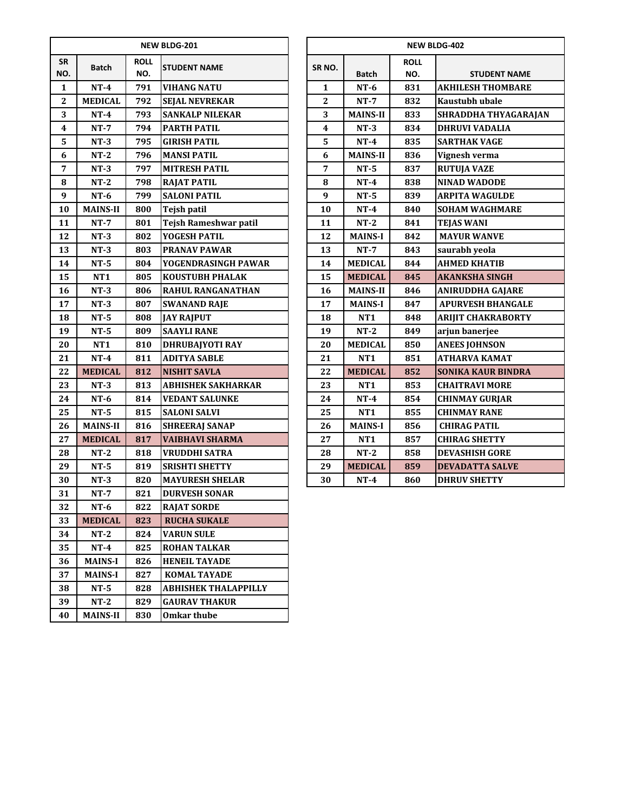|                  |                 |                    | <b>NEW BLDG-201</b>         | <b>NEW BLDG-402</b>     |                 |                    |                           |  |  |
|------------------|-----------------|--------------------|-----------------------------|-------------------------|-----------------|--------------------|---------------------------|--|--|
| <b>SR</b><br>NO. | <b>Batch</b>    | <b>ROLL</b><br>NO. | <b>STUDENT NAME</b>         | SR <sub>NO</sub> .      | <b>Batch</b>    | <b>ROLL</b><br>NO. | <b>STUDENT NAME</b>       |  |  |
| $\mathbf{1}$     | $NT-4$          | 791                | <b>VIHANG NATU</b>          | $\mathbf{1}$            | $NT-6$          | 831                | <b>AKHILESH THOMBARE</b>  |  |  |
| $\boldsymbol{2}$ | <b>MEDICAL</b>  | 792                | <b>SEJAL NEVREKAR</b>       | $\mathbf{2}$            | $NT-7$          | 832                | Kaustubh ubale            |  |  |
| 3                | $NT-4$          | 793                | <b>SANKALP NILEKAR</b>      | 3                       | <b>MAINS-II</b> | 833                | <b>SHRADDHA THYAGARA</b>  |  |  |
| 4                | $NT-7$          | 794                | <b>PARTH PATIL</b>          | $\overline{\mathbf{4}}$ | $NT-3$          | 834                | <b>DHRUVI VADALIA</b>     |  |  |
| 5                | $NT-3$          | 795                | <b>GIRISH PATIL</b>         | 5                       | $NT-4$          | 835                | <b>SARTHAK VAGE</b>       |  |  |
| 6                | $NT-2$          | 796                | <b>MANSI PATIL</b>          | 6                       | <b>MAINS-II</b> | 836                | Vignesh verma             |  |  |
| $\overline{7}$   | $NT-3$          | 797                | <b>MITRESH PATIL</b>        | $\overline{7}$          | $NT-5$          | 837                | <b>RUTUJA VAZE</b>        |  |  |
| 8                | $NT-2$          | 798                | <b>RAJAT PATIL</b>          | 8                       | $NT-4$          | 838                | <b>NINAD WADODE</b>       |  |  |
| $\boldsymbol{9}$ | $NT-6$          | 799                | <b>SALONI PATIL</b>         | $\boldsymbol{9}$        | $NT-5$          | 839                | <b>ARPITA WAGULDE</b>     |  |  |
| 10               | <b>MAINS-II</b> | 800                | Tejsh patil                 | 10                      | $NT-4$          | 840                | <b>SOHAM WAGHMARE</b>     |  |  |
| 11               | $NT-7$          | 801                | Tejsh Rameshwar patil       | 11                      | $NT-2$          | 841                | <b>TEJAS WANI</b>         |  |  |
| 12               | $NT-3$          | 802                | YOGESH PATIL                | 12                      | <b>MAINS-I</b>  | 842                | <b>MAYUR WANVE</b>        |  |  |
| 13               | $NT-3$          | 803                | <b>PRANAV PAWAR</b>         | 13                      | $NT-7$          | 843                | saurabh yeola             |  |  |
| 14               | $NT-5$          | 804                | YOGENDRASINGH PAWAR         | 14                      | <b>MEDICAL</b>  | 844                | <b>AHMED KHATIB</b>       |  |  |
| 15               | <b>NT1</b>      | 805                | <b>KOUSTUBH PHALAK</b>      | 15                      | <b>MEDICAL</b>  | 845                | <b>AKANKSHA SINGH</b>     |  |  |
| 16               | $NT-3$          | 806                | <b>RAHUL RANGANATHAN</b>    | 16                      | <b>MAINS-II</b> | 846                | <b>ANIRUDDHA GAJARE</b>   |  |  |
| 17               | $NT-3$          | 807                | <b>SWANAND RAJE</b>         | 17                      | <b>MAINS-I</b>  | 847                | <b>APURVESH BHANGALE</b>  |  |  |
| 18               | $NT-5$          | 808                | <b>JAY RAJPUT</b>           | 18                      | NT1             | 848                | <b>ARIJIT CHAKRABORTY</b> |  |  |
| 19               | $NT-5$          | 809                | <b>SAAYLI RANE</b>          | 19                      | $NT-2$          | 849                | arjun banerjee            |  |  |
| 20               | <b>NT1</b>      | 810                | <b>DHRUBAJYOTI RAY</b>      | 20                      | <b>MEDICAL</b>  | 850                | <b>ANEES JOHNSON</b>      |  |  |
| 21               | $NT-4$          | 811                | <b>ADITYA SABLE</b>         | 21                      | <b>NT1</b>      | 851                | <b>ATHARVA KAMAT</b>      |  |  |
| 22               | <b>MEDICAL</b>  | 812                | <b>NISHIT SAVLA</b>         | 22                      | <b>MEDICAL</b>  | 852                | <b>SONIKA KAUR BINDRA</b> |  |  |
| 23               | $NT-3$          | 813                | <b>ABHISHEK SAKHARKAR</b>   | 23                      | <b>NT1</b>      | 853                | <b>CHAITRAVI MORE</b>     |  |  |
| 24               | $NT-6$          | 814                | <b>VEDANT SALUNKE</b>       | 24                      | $NT-4$          | 854                | <b>CHINMAY GURJAR</b>     |  |  |
| 25               | $NT-5$          | 815                | <b>SALONI SALVI</b>         | 25                      | NT1             | 855                | <b>CHINMAY RANE</b>       |  |  |
| 26               | <b>MAINS-II</b> | 816                | <b>SHREERAJ SANAP</b>       | 26                      | <b>MAINS-I</b>  | 856                | <b>CHIRAG PATIL</b>       |  |  |
| 27               | <b>MEDICAL</b>  | 817                | <b>VAIBHAVI SHARMA</b>      | 27                      | NT1             | 857                | <b>CHIRAG SHETTY</b>      |  |  |
| 28               | $NT-2$          | 818                | <b>VRUDDHI SATRA</b>        | 28                      | $NT-2$          | 858                | <b>DEVASHISH GORE</b>     |  |  |
| 29               | $NT-5$          | 819                | <b>SRISHTI SHETTY</b>       | 29                      | <b>MEDICAL</b>  | 859                | <b>DEVADATTA SALVE</b>    |  |  |
| 30               | $NT-3$          | 820                | <b>MAYURESH SHELAR</b>      | 30                      | $NT-4$          | 860                | <b>DHRUV SHETTY</b>       |  |  |
| 31               | $NT-7$          | 821                | <b>DURVESH SONAR</b>        |                         |                 |                    |                           |  |  |
| 32               | $NT-6$          | 822                | <b>RAJAT SORDE</b>          |                         |                 |                    |                           |  |  |
| 33               | <b>MEDICAL</b>  | 823                | <b>RUCHA SUKALE</b>         |                         |                 |                    |                           |  |  |
| 34               | $NT-2$          | 824                | <b>VARUN SULE</b>           |                         |                 |                    |                           |  |  |
| 35               | $NT-4$          | 825                | <b>ROHAN TALKAR</b>         |                         |                 |                    |                           |  |  |
| 36               | <b>MAINS-I</b>  | 826                | <b>HENEIL TAYADE</b>        |                         |                 |                    |                           |  |  |
| 37               | <b>MAINS-I</b>  | 827                | <b>KOMAL TAYADE</b>         |                         |                 |                    |                           |  |  |
| 38               | $NT-5$          | 828                | <b>ABHISHEK THALAPPILLY</b> |                         |                 |                    |                           |  |  |
| 39               | $NT-2$          | 829                | <b>GAURAV THAKUR</b>        |                         |                 |                    |                           |  |  |
| 40               | <b>MAINS-II</b> | 830                | <b>Omkar thube</b>          |                         |                 |                    |                           |  |  |

|                 |                 |                    | NEW BLDG-201              |                         |                 |                    | <b>NEW BLDG-402</b>       |
|-----------------|-----------------|--------------------|---------------------------|-------------------------|-----------------|--------------------|---------------------------|
| йR.<br>O.       | <b>Batch</b>    | <b>ROLL</b><br>NO. | <b>STUDENT NAME</b>       | SR <sub>NO</sub> .      | <b>Batch</b>    | <b>ROLL</b><br>NO. | <b>STUDENT NAME</b>       |
| 1               | $NT-4$          | 791                | <b>VIHANG NATU</b>        | $\mathbf{1}$            | $NT-6$          | 831                | <b>AKHILESH THOMBARE</b>  |
| 2               | <b>MEDICAL</b>  | 792                | <b>SEJAL NEVREKAR</b>     | $\overline{2}$          | $NT-7$          | 832                | <b>Kaustubh ubale</b>     |
| 3               | $NT-4$          | 793                | <b>SANKALP NILEKAR</b>    | 3                       | <b>MAINS-II</b> | 833                | SHRADDHA THYAGARAJAN      |
| 4               | $NT-7$          | 794                | <b>PARTH PATIL</b>        | $\overline{\mathbf{4}}$ | $NT-3$          | 834                | <b>DHRUVI VADALIA</b>     |
| 5               | $NT-3$          | 795                | <b>GIRISH PATIL</b>       | 5                       | $NT-4$          | 835                | <b>SARTHAK VAGE</b>       |
| 6               | $NT-2$          | 796                | <b>MANSI PATIL</b>        | 6                       | <b>MAINS-II</b> | 836                | Vignesh verma             |
| 7               | $NT-3$          | 797                | <b>MITRESH PATIL</b>      | 7                       | $NT-5$          | 837                | <b>RUTUJA VAZE</b>        |
| 8               | $NT-2$          | 798                | <b>RAJAT PATIL</b>        | 8                       | $NT-4$          | 838                | <b>NINAD WADODE</b>       |
| 9               | $NT-6$          | 799                | <b>SALONI PATIL</b>       | $\boldsymbol{9}$        | $NT-5$          | 839                | <b>ARPITA WAGULDE</b>     |
| LO              | <b>MAINS-II</b> | 800                | <b>Tejsh patil</b>        | 10                      | $NT-4$          | 840                | <b>SOHAM WAGHMARE</b>     |
| 11              | $NT-7$          | 801                | Tejsh Rameshwar patil     | 11                      | $NT-2$          | 841                | <b>TEJAS WANI</b>         |
| $\overline{2}$  | $NT-3$          | 802                | YOGESH PATIL              | 12                      | <b>MAINS-I</b>  | 842                | <b>MAYUR WANVE</b>        |
| $\overline{13}$ | $NT-3$          | 803                | <b>PRANAV PAWAR</b>       | 13                      | $NT-7$          | 843                | saurabh yeola             |
| l4              | $NT-5$          | 804                | YOGENDRASINGH PAWAR       | 14                      | <b>MEDICAL</b>  | 844                | <b>AHMED KHATIB</b>       |
| L5              | NT <sub>1</sub> | 805                | <b>KOUSTUBH PHALAK</b>    | 15                      | <b>MEDICAL</b>  | 845                | <b>AKANKSHA SINGH</b>     |
| L6              | $NT-3$          | 806                | <b>RAHUL RANGANATHAN</b>  | 16                      | <b>MAINS-II</b> | 846                | <b>ANIRUDDHA GAJARE</b>   |
| $\overline{17}$ | $NT-3$          | 807                | <b>SWANAND RAJE</b>       | 17                      | <b>MAINS-I</b>  | 847                | <b>APURVESH BHANGALE</b>  |
| l8              | $NT-5$          | 808                | <b>JAY RAJPUT</b>         | 18                      | NT1             | 848                | <b>ARIJIT CHAKRABORTY</b> |
| L9              | $NT-5$          | 809                | <b>SAAYLI RANE</b>        | 19                      | $NT-2$          | 849                | arjun banerjee            |
| 20              | NT <sub>1</sub> | 810                | DHRUBAJYOTI RAY           | 20                      | <b>MEDICAL</b>  | 850                | <b>ANEES JOHNSON</b>      |
| $\overline{21}$ | $NT-4$          | 811                | <b>ADITYA SABLE</b>       | 21                      | NT1             | 851                | <b>ATHARVA KAMAT</b>      |
| $^{22}$         | <b>MEDICAL</b>  | 812                | <b>NISHIT SAVLA</b>       | 22                      | <b>MEDICAL</b>  | 852                | <b>SONIKA KAUR BINDRA</b> |
| $^{23}$         | $NT-3$          | 813                | <b>ABHISHEK SAKHARKAR</b> | 23                      | <b>NT1</b>      | 853                | <b>CHAITRAVI MORE</b>     |
| 24              | $NT-6$          | 814                | <b>VEDANT SALUNKE</b>     | 24                      | $NT-4$          | 854                | <b>CHINMAY GURIAR</b>     |
| 25              | $NT-5$          | 815                | <b>SALONI SALVI</b>       | 25                      | NT1             | 855                | <b>CHINMAY RANE</b>       |
| 26              | <b>MAINS-II</b> | 816                | <b>SHREERAJ SANAP</b>     | 26                      | <b>MAINS-I</b>  | 856                | <b>CHIRAG PATIL</b>       |
| 27              | <b>MEDICAL</b>  | 817                | <b>VAIBHAVI SHARMA</b>    | 27                      | NT <sub>1</sub> | 857                | <b>CHIRAG SHETTY</b>      |
| 28              | $NT-2$          | 818                | <b>VRUDDHI SATRA</b>      | 28                      | $NT-2$          | 858                | <b>DEVASHISH GORE</b>     |
| 29              | $NT-5$          | 819                | <b>SRISHTI SHETTY</b>     | 29                      | <b>MEDICAL</b>  | 859                | <b>DEVADATTA SALVE</b>    |
| 30              | $NT-3$          | 820                | <b>MAYURESH SHELAR</b>    | 30                      | $NT-4$          | 860                | <b>DHRUV SHETTY</b>       |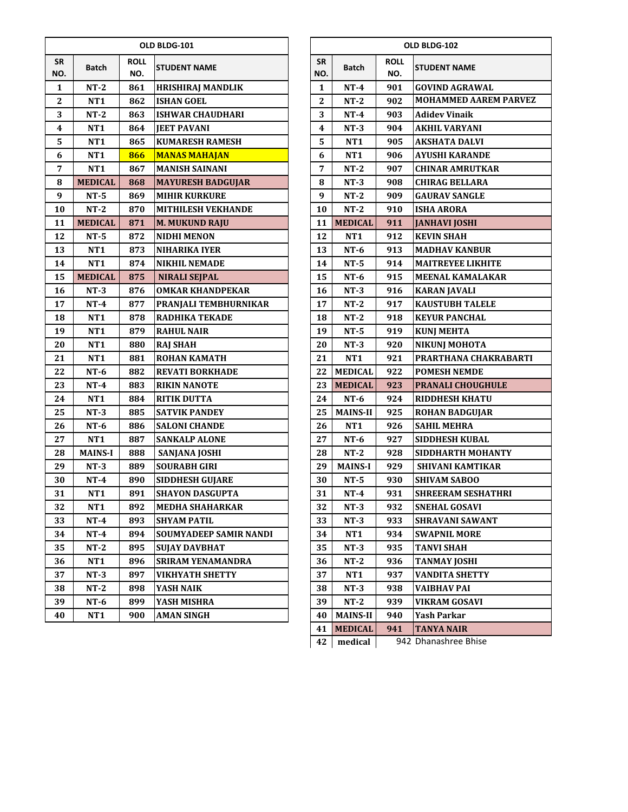|                  |                 |                    | OLD BLDG-101                  | OLD BLDG-102 |                  |                 |                    |                              |  |  |
|------------------|-----------------|--------------------|-------------------------------|--------------|------------------|-----------------|--------------------|------------------------------|--|--|
| <b>SR</b><br>NO. | <b>Batch</b>    | <b>ROLL</b><br>NO. | <b>STUDENT NAME</b>           |              | <b>SR</b><br>NO. | <b>Batch</b>    | <b>ROLL</b><br>NO. | <b>STUDENT NAME</b>          |  |  |
| 1                | $NT-2$          | 861                | <b>HRISHIRAJ MANDLIK</b>      |              | 1                | $NT-4$          | 901                | <b>GOVIND AGRAWAL</b>        |  |  |
| $\boldsymbol{2}$ | <b>NT1</b>      | 862                | <b>ISHAN GOEL</b>             |              | 2                | $NT-2$          | 902                | <b>MOHAMMED AAREM PARVEZ</b> |  |  |
| 3                | $NT-2$          | 863                | <b>ISHWAR CHAUDHARI</b>       |              | 3                | $NT-4$          | 903                | <b>Adidev Vinaik</b>         |  |  |
| $\boldsymbol{4}$ | <b>NT1</b>      | 864                | <b>JEET PAVANI</b>            |              | $\boldsymbol{4}$ | $NT-3$          | 904                | <b>AKHIL VARYANI</b>         |  |  |
| 5                | NT <sub>1</sub> | 865                | <b>KUMARESH RAMESH</b>        |              | 5                | NT <sub>1</sub> | 905                | <b>AKSHATA DALVI</b>         |  |  |
| 6                | NT1             | 866                | <b>MANAS MAHAJAN</b>          |              | 6                | <b>NT1</b>      | 906                | <b>AYUSHI KARANDE</b>        |  |  |
| 7                | <b>NT1</b>      | 867                | <b>MANISH SAINANI</b>         |              | 7                | $NT-2$          | 907                | <b>CHINAR AMRUTKAR</b>       |  |  |
| 8                | <b>MEDICAL</b>  | 868                | <b>MAYURESH BADGUJAR</b>      |              | 8                | $NT-3$          | 908                | <b>CHIRAG BELLARA</b>        |  |  |
| 9                | $NT-5$          | 869                | <b>MIHIR KURKURE</b>          |              | 9                | $NT-2$          | 909                | <b>GAURAV SANGLE</b>         |  |  |
| 10               | $NT-2$          | 870                | <b>MITHILESH VEKHANDE</b>     |              | 10               | $NT-2$          | 910                | <b>ISHA ARORA</b>            |  |  |
| 11               | <b>MEDICAL</b>  | 871                | <b>M. MUKUND RAJU</b>         |              | 11               | <b>MEDICAL</b>  | 911                | <b>JANHAVI JOSHI</b>         |  |  |
| 12               | $NT-5$          | 872                | <b>NIDHI MENON</b>            |              | 12               | <b>NT1</b>      | 912                | <b>KEVIN SHAH</b>            |  |  |
| 13               | NT1             | 873                | <b>NIHARIKA IYER</b>          |              | 13               | $NT-6$          | 913                | <b>MADHAV KANBUR</b>         |  |  |
| 14               | <b>NT1</b>      | 874                | <b>NIKHIL NEMADE</b>          |              | 14               | $NT-5$          | 914                | <b>MAITREYEE LIKHITE</b>     |  |  |
| 15               | <b>MEDICAL</b>  | 875                | <b>NIRALI SEJPAL</b>          |              | 15               | $NT-6$          | 915                | <b>MEENAL KAMALAKAR</b>      |  |  |
| 16               | $NT-3$          | 876                | <b>OMKAR KHANDPEKAR</b>       |              | 16               | $NT-3$          | 916                | <b>KARAN JAVALI</b>          |  |  |
| 17               | $NT-4$          | 877                | PRANJALI TEMBHURNIKAR         |              | 17               | $NT-2$          | 917                | <b>KAUSTUBH TALELE</b>       |  |  |
| 18               | <b>NT1</b>      | 878                | <b>RADHIKA TEKADE</b>         |              | 18               | $NT-2$          | 918                | <b>KEYUR PANCHAL</b>         |  |  |
| 19               | <b>NT1</b>      | 879                | <b>RAHUL NAIR</b>             |              | 19               | $NT-5$          | 919                | <b>KUNJ MEHTA</b>            |  |  |
| 20               | <b>NT1</b>      | 880                | <b>RAJ SHAH</b>               |              | 20               | $NT-3$          | 920                | <b>NIKUNJ MOHOTA</b>         |  |  |
| 21               | NT1             | 881                | <b>ROHAN KAMATH</b>           |              | 21               | <b>NT1</b>      | 921                | PRARTHANA CHAKRABARTI        |  |  |
| 22               | $NT-6$          | 882                | <b>REVATI BORKHADE</b>        |              | 22               | <b>MEDICAL</b>  | 922                | <b>POMESH NEMDE</b>          |  |  |
| 23               | $NT-4$          | 883                | <b>RIKIN NANOTE</b>           |              | 23               | <b>MEDICAL</b>  | 923                | PRANALI CHOUGHULE            |  |  |
| 24               | <b>NT1</b>      | 884                | <b>RITIK DUTTA</b>            |              | 24               | $NT-6$          | 924                | <b>RIDDHESH KHATU</b>        |  |  |
| 25               | $NT-3$          | 885                | <b>SATVIK PANDEY</b>          |              | 25               | <b>MAINS-II</b> | 925                | <b>ROHAN BADGUJAR</b>        |  |  |
| 26               | $NT-6$          | 886                | <b>SALONI CHANDE</b>          |              | 26               | <b>NT1</b>      | 926                | <b>SAHIL MEHRA</b>           |  |  |
| 27               | NT1             | 887                | <b>SANKALP ALONE</b>          |              | 27               | $NT-6$          | 927                | <b>SIDDHESH KUBAL</b>        |  |  |
| 28               | <b>MAINS-I</b>  | 888                | <b>SANJANA JOSHI</b>          |              | 28               | $NT-2$          | 928                | SIDDHARTH MOHANTY            |  |  |
| 29               | $NT-3$          | 889                | <b>SOURABH GIRI</b>           |              | 29               | <b>MAINS-I</b>  | 929                | <b>SHIVANI KAMTIKAR</b>      |  |  |
| 30               | $NT-4$          | 890                | <b>SIDDHESH GUJARE</b>        |              | 30               | $NT-5$          | 930                | <b>SHIVAM SABOO</b>          |  |  |
| 31               | NT1             | 891                | <b>SHAYON DASGUPTA</b>        |              | 31               | $NT-4$          | 931                | <b>SHREERAM SESHATHRI</b>    |  |  |
| 32               | NT1             | 892                | <b>MEDHA SHAHARKAR</b>        |              | 32               | $NT-3$          | 932                | <b>SNEHAL GOSAVI</b>         |  |  |
| 33               | $NT-4$          | 893                | <b>SHYAM PATIL</b>            |              | 33               | $NT-3$          | 933                | SHRAVANI SAWANT              |  |  |
| 34               | $NT-4$          | 894                | <b>SOUMYADEEP SAMIR NANDI</b> |              | 34               | NT <sub>1</sub> | 934                | <b>SWAPNIL MORE</b>          |  |  |
| 35               | $NT-2$          | 895                | <b>SUJAY DAVBHAT</b>          |              | 35               | $NT-3$          | 935                | <b>TANVI SHAH</b>            |  |  |
| 36               | NT1             | 896                | <b>SRIRAM YENAMANDRA</b>      |              | 36               | $NT-2$          | 936                | <b>TANMAY JOSHI</b>          |  |  |
| 37               | $NT-3$          | 897                | <b>VIKHYATH SHETTY</b>        |              | 37               | NT <sub>1</sub> | 937                | <b>VANDITA SHETTY</b>        |  |  |
| 38               | $NT-2$          | 898                | YASH NAIK                     |              | 38               | $NT-3$          | 938                | VAIBHAV PAI                  |  |  |
| 39               | NT-6            | 899                | YASH MISHRA                   |              | 39               | $NT-2$          | 939                | VIKRAM GOSAVI                |  |  |
| 40               | NT1             | 900                | <b>AMAN SINGH</b>             |              | 40               | <b>MAINS-II</b> | 940                | <b>Yash Parkar</b>           |  |  |

|           | OLD BLDG-102    |                    |                              |  |  |  |  |  |
|-----------|-----------------|--------------------|------------------------------|--|--|--|--|--|
| SR<br>NO. | Batch           | <b>ROLL</b><br>NO. | <b>STUDENT NAME</b>          |  |  |  |  |  |
| 1         | NT-4            | 901                | <b>GOVIND AGRAWAL</b>        |  |  |  |  |  |
| 2         | NT-2            | 902                | <b>MOHAMMED AAREM PARVEZ</b> |  |  |  |  |  |
| 3         | NT-4            | 903                | Adidev Vinaik                |  |  |  |  |  |
| 4         | NT-3            | 904                | <b>AKHIL VARYANI</b>         |  |  |  |  |  |
| 5         | NT1             | 905                | <b>AKSHATA DALVI</b>         |  |  |  |  |  |
| 6         | NT1             | 906                | AYUSHI KARANDE               |  |  |  |  |  |
| 7         | NT-2            | 907                | <b>CHINAR AMRUTKAR</b>       |  |  |  |  |  |
| 8         | $NT-3$          | 908                | <b>CHIRAG BELLARA</b>        |  |  |  |  |  |
| 9         | $NT-2$          | 909                | <b>GAURAV SANGLE</b>         |  |  |  |  |  |
| 10        | NT-2            | 910                | <b>ISHA ARORA</b>            |  |  |  |  |  |
| 11        | <b>MEDICAL</b>  | 911                | <b>JANHAVI JOSHI</b>         |  |  |  |  |  |
| 12        | NT1             | 912                | <b>KEVIN SHAH</b>            |  |  |  |  |  |
| 13        | NT-6            | 913                | MADHAV KANBUR                |  |  |  |  |  |
| 14        | NT-5            | 914                | <b>MAITREYEE LIKHITE</b>     |  |  |  |  |  |
| 15        | $NT-6$          | 915                | <b>MEENAL KAMALAKAR</b>      |  |  |  |  |  |
| 16        | $NT-3$          | 916                | <b>KARAN JAVALI</b>          |  |  |  |  |  |
| 17        | $NT-2$          | 917                | KAUSTUBH TALELE              |  |  |  |  |  |
| 18        | $NT-2$          | 918                | <b>KEYUR PANCHAL</b>         |  |  |  |  |  |
| 19        | $NT-5$          | 919                | <b>KUNJ MEHTA</b>            |  |  |  |  |  |
| 20        | $NT-3$          | 920                | <b>NIKUNJ MOHOTA</b>         |  |  |  |  |  |
| 21        | NT1             | 921                | PRARTHANA CHAKRABARTI        |  |  |  |  |  |
| 22        | <b>MEDICAL</b>  | 922                | <b>POMESH NEMDE</b>          |  |  |  |  |  |
| 23        | <b>MEDICAL</b>  | 923                | PRANALI CHOUGHULE            |  |  |  |  |  |
| 24        | NT-6            | 924                | <b>RIDDHESH KHATU</b>        |  |  |  |  |  |
| 25        | <b>MAINS-II</b> | 925                | <b>ROHAN BADGUJAR</b>        |  |  |  |  |  |
| 26        | <b>NT1</b>      | 926                | <b>SAHIL MEHRA</b>           |  |  |  |  |  |
| 27        | $NT-6$          | 927                | SIDDHESH KUBAL               |  |  |  |  |  |
| 28        | $NT-2$          | 928                | SIDDHARTH MOHANTY            |  |  |  |  |  |
| 29        | <b>MAINS-I</b>  | 929                | <b>SHIVANI KAMTIKAR</b>      |  |  |  |  |  |
| 30        | $NT-5$          | 930                | <b>SHIVAM SABOO</b>          |  |  |  |  |  |
| 31        | $NT-4$          | 931                | SHREERAM SESHATHRI           |  |  |  |  |  |
| 32        | NT-3            | 932                | <b>SNEHAL GOSAVI</b>         |  |  |  |  |  |
| 33        | $NT-3$          | 933                | SHRAVANI SAWANT              |  |  |  |  |  |
| 34        | NT1             | 934                | <b>SWAPNIL MORE</b>          |  |  |  |  |  |
| 35        | $NT-3$          | 935                | TANVI SHAH                   |  |  |  |  |  |
| 36        | $NT-2$          | 936                | <b>TANMAY JOSHI</b>          |  |  |  |  |  |
| 37        | NT1             | 937                | <b>VANDITA SHETTY</b>        |  |  |  |  |  |
| 38        | $NT-3$          | 938                | VAIBHAV PAI                  |  |  |  |  |  |
| 39        | NT-2            | 939                | VIKRAM GOSAVI                |  |  |  |  |  |
| 40        | <b>MAINS-II</b> | 940                | Yash Parkar                  |  |  |  |  |  |
| 41        | <b>MEDICAL</b>  | 941                | <b>TANYA NAIR</b>            |  |  |  |  |  |
| 42        | medical         | 942                | Dhanashree Bhise             |  |  |  |  |  |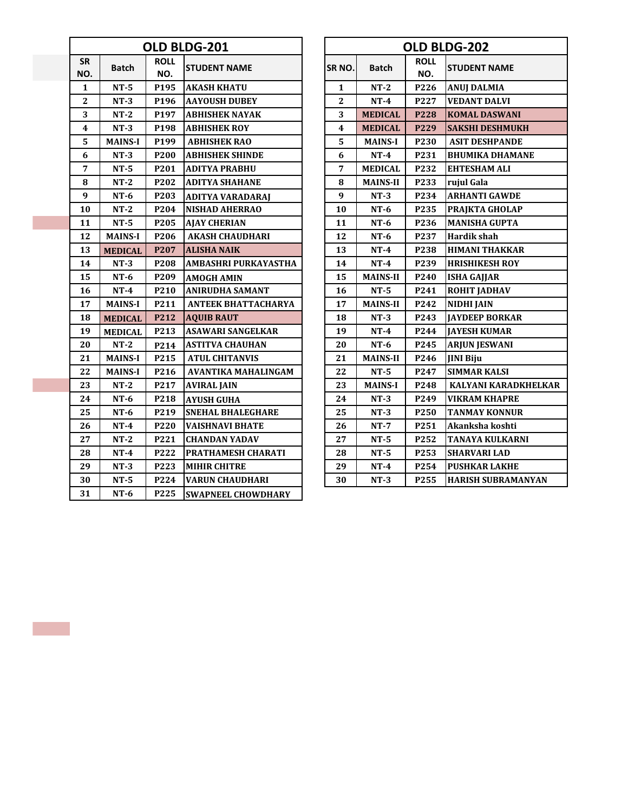|                  |                |                    | OLD BLDG-201                |              |                 |                    | OLD BLDG-202              |
|------------------|----------------|--------------------|-----------------------------|--------------|-----------------|--------------------|---------------------------|
| <b>SR</b><br>NO. | <b>Batch</b>   | <b>ROLL</b><br>NO. | <b>STUDENT NAME</b>         | SR NO.       | <b>Batch</b>    | <b>ROLL</b><br>NO. | <b>STUDENT NAME</b>       |
| 1                | $NT-5$         | P195               | <b>AKASH KHATU</b>          | 1            | $NT-2$          | P226               | <b>ANUJ DALMIA</b>        |
| $\mathbf{2}$     | $NT-3$         | P196               | <b>AAYOUSH DUBEY</b>        | $\mathbf{2}$ | $NT-4$          | P227               | <b>VEDANT DALVI</b>       |
| 3                | $NT-2$         | P197               | <b>ABHISHEK NAYAK</b>       | 3            | <b>MEDICAL</b>  | P228               | <b>KOMAL DASWANI</b>      |
| 4                | $NT-3$         | P198               | <b>ABHISHEK ROY</b>         | 4            | <b>MEDICAL</b>  | P229               | <b>SAKSHI DESHMUKH</b>    |
| 5                | <b>MAINS-I</b> | P <sub>199</sub>   | <b>ABHISHEK RAO</b>         | 5            | <b>MAINS-I</b>  | P230               | <b>ASIT DESHPANDE</b>     |
| 6                | $NT-3$         | P200               | <b>ABHISHEK SHINDE</b>      | 6            | $NT-4$          | P231               | <b>BHUMIKA DHAMANE</b>    |
| 7                | $NT-5$         | P <sub>201</sub>   | <b>ADITYA PRABHU</b>        | 7            | <b>MEDICAL</b>  | P232               | EHTESHAM ALI              |
| 8                | $NT-2$         | P202               | <b>ADITYA SHAHANE</b>       | 8            | <b>MAINS-II</b> | P233               | rujul Gala                |
| 9                | $NT-6$         | P203               | <b>ADITYA VARADARAI</b>     | 9            | $NT-3$          | P234               | <b>ARHANTI GAWDE</b>      |
| 10               | $NT-2$         | P204               | <b>NISHAD AHERRAO</b>       | 10           | $NT-6$          | P235               | PRAJKTA GHOLAP            |
| 11               | $NT-5$         | P205               | <b>AJAY CHERIAN</b>         | 11           | $NT-6$          | P236               | <b>MANISHA GUPTA</b>      |
| 12               | <b>MAINS-I</b> | P206               | <b>AKASH CHAUDHARI</b>      | 12           | $NT-6$          | P237               | <b>Hardik shah</b>        |
| 13               | <b>MEDICAL</b> | P207               | <b>ALISHA NAIK</b>          | 13           | $NT-4$          | P238               | <b>HIMANI THAKKAR</b>     |
| 14               | $NT-3$         | P208               | <b>AMBASHRI PURKAYASTHA</b> | 14           | $NT-4$          | P239               | <b>HRISHIKESH ROY</b>     |
| 15               | $NT-6$         | P209               | <b>AMOGH AMIN</b>           | 15           | <b>MAINS-II</b> | P <sub>240</sub>   | <b>ISHA GAJJAR</b>        |
| 16               | $NT-4$         | P <sub>210</sub>   | <b>ANIRUDHA SAMANT</b>      | 16           | $NT-5$          | P241               | <b>ROHIT JADHAV</b>       |
| 17               | <b>MAINS-I</b> | P211               | <b>ANTEEK BHATTACHARYA</b>  | 17           | <b>MAINS-II</b> | P242               | <b>NIDHI JAIN</b>         |
| 18               | <b>MEDICAL</b> | P212               | <b>AQUIB RAUT</b>           | 18           | $NT-3$          | P243               | <b>JAYDEEP BORKAR</b>     |
| 19               | <b>MEDICAL</b> | P213               | <b>ASAWARI SANGELKAR</b>    | 19           | $NT-4$          | P244               | <b>JAYESH KUMAR</b>       |
| 20               | $NT-2$         | P214               | <b>ASTITVA CHAUHAN</b>      | 20           | $NT-6$          | P245               | <b>ARJUN JESWANI</b>      |
| 21               | <b>MAINS-I</b> | P215               | <b>ATUL CHITANVIS</b>       | 21           | <b>MAINS-II</b> | P246               | <b>IINI Biju</b>          |
| 22               | <b>MAINS-I</b> | P216               | <b>AVANTIKA MAHALINGAM</b>  | 22           | $NT-5$          | P247               | <b>SIMMAR KALSI</b>       |
| 23               | $NT-2$         | P217               | <b>AVIRAL JAIN</b>          | 23           | <b>MAINS-I</b>  | P248               | <b>KALYANI KARADKHELK</b> |
| 24               | $NT-6$         | P218               | <b>AYUSH GUHA</b>           | 24           | $NT-3$          | P <sub>249</sub>   | <b>VIKRAM KHAPRE</b>      |
| 25               | $NT-6$         | P219               | <b>SNEHAL BHALEGHARE</b>    | 25           | $NT-3$          | P <sub>250</sub>   | <b>TANMAY KONNUR</b>      |
| 26               | $NT-4$         | P220               | <b>VAISHNAVI BHATE</b>      | 26           | $NT-7$          | P251               | Akanksha koshti           |
| 27               | $NT-2$         | P221               | <b>CHANDAN YADAV</b>        | 27           | $NT-5$          | P252               | TANAYA KULKARNI           |
| 28               | $NT-4$         | P222               | PRATHAMESH CHARATI          | 28           | $NT-5$          | P <sub>253</sub>   | <b>SHARVARI LAD</b>       |
| 29               | $NT-3$         | P223               | <b>MIHIR CHITRE</b>         | 29           | $NT-4$          | P254               | <b>PUSHKAR LAKHE</b>      |
| 30               | $NT-5$         | P224               | <b>VARUN CHAUDHARI</b>      | 30           | $NT-3$          | P255               | <b>HARISH SUBRAMANYAN</b> |
| 31               | $NT-6$         | P225               | <b>SWAPNEEL CHOWDHARY</b>   |              |                 |                    |                           |

|                         |                |                    | OLD BLDG-201               | OLD BLDG-202 |                 |                    |                           |  |  |  |
|-------------------------|----------------|--------------------|----------------------------|--------------|-----------------|--------------------|---------------------------|--|--|--|
| SR.<br>۱O.              | <b>Batch</b>   | <b>ROLL</b><br>NO. | <b>STUDENT NAME</b>        | SR NO.       | <b>Batch</b>    | <b>ROLL</b><br>NO. | <b>STUDENT NAME</b>       |  |  |  |
| $\mathbf{1}$            | $NT-5$         | P <sub>195</sub>   | <b>AKASH KHATU</b>         | $\mathbf{1}$ | $NT-2$          | P226               | <b>ANUJ DALMIA</b>        |  |  |  |
| $\mathbf{2}$            | $NT-3$         | P <sub>196</sub>   | <b>AAYOUSH DUBEY</b>       | $\mathbf{2}$ | $NT-4$          | P227               | <b>VEDANT DALVI</b>       |  |  |  |
| 3                       | $NT-2$         | P197               | <b>ABHISHEK NAYAK</b>      | 3            | <b>MEDICAL</b>  | <b>P228</b>        | <b>KOMAL DASWANI</b>      |  |  |  |
| $\overline{\mathbf{4}}$ | $NT-3$         | P <sub>198</sub>   | <b>ABHISHEK ROY</b>        | 4            | <b>MEDICAL</b>  | P <sub>229</sub>   | <b>SAKSHI DESHMUKH</b>    |  |  |  |
| 5                       | <b>MAINS-I</b> | P <sub>199</sub>   | <b>ABHISHEK RAO</b>        | 5            | <b>MAINS-I</b>  | P <sub>230</sub>   | <b>ASIT DESHPANDE</b>     |  |  |  |
| 6                       | $NT-3$         | P200               | <b>ABHISHEK SHINDE</b>     | 6            | $NT-4$          | P231               | <b>BHUMIKA DHAMANE</b>    |  |  |  |
| $\overline{7}$          | $NT-5$         | P201               | <b>ADITYA PRABHU</b>       | 7            | <b>MEDICAL</b>  | P232               | <b>EHTESHAM ALI</b>       |  |  |  |
| 8                       | $NT-2$         | P202               | <b>ADITYA SHAHANE</b>      | 8            | <b>MAINS-II</b> | P233               | rujul Gala                |  |  |  |
| 9                       | $NT-6$         | P203               | <b>ADITYA VARADARAJ</b>    | 9            | $NT-3$          | P234               | <b>ARHANTI GAWDE</b>      |  |  |  |
| 10                      | $NT-2$         | P204               | <b>NISHAD AHERRAO</b>      | 10           | $NT-6$          | P235               | PRAJKTA GHOLAP            |  |  |  |
| 11                      | $NT-5$         | P205               | <b>AJAY CHERIAN</b>        | 11           | $NT-6$          | P236               | <b>MANISHA GUPTA</b>      |  |  |  |
| 12                      | <b>MAINS-I</b> | P206               | <b>AKASH CHAUDHARI</b>     | 12           | $NT-6$          | P237               | <b>Hardik shah</b>        |  |  |  |
| 13                      | <b>MEDICAL</b> | P <sub>207</sub>   | ALISHA NAIK                | 13           | $NT-4$          | P238               | <b>HIMANI THAKKAR</b>     |  |  |  |
| 14                      | $NT-3$         | P <sub>208</sub>   | AMBASHRI PURKAYASTHA       | 14           | $NT-4$          | P239               | <b>HRISHIKESH ROY</b>     |  |  |  |
| 15                      | $NT-6$         | P <sub>209</sub>   | <b>AMOGH AMIN</b>          | 15           | <b>MAINS-II</b> | P <sub>240</sub>   | <b>ISHA GAJJAR</b>        |  |  |  |
| 16                      | $NT-4$         | P <sub>210</sub>   | <b>ANIRUDHA SAMANT</b>     | 16           | $NT-5$          | P241               | <b>ROHIT JADHAV</b>       |  |  |  |
| 17                      | <b>MAINS-I</b> | P211               | <b>ANTEEK BHATTACHARYA</b> | 17           | <b>MAINS-II</b> | P242               | <b>NIDHI JAIN</b>         |  |  |  |
| 18                      | <b>MEDICAL</b> | P212               | <b>AQUIB RAUT</b>          | 18           | $NT-3$          | P243               | <b>JAYDEEP BORKAR</b>     |  |  |  |
| 19                      | <b>MEDICAL</b> | P213               | <b>ASAWARI SANGELKAR</b>   | 19           | $NT-4$          | P244               | <b>JAYESH KUMAR</b>       |  |  |  |
| 20                      | $NT-2$         | P214               | <b>ASTITVA CHAUHAN</b>     | 20           | $NT-6$          | P245               | <b>ARJUN JESWANI</b>      |  |  |  |
| 21                      | <b>MAINS-I</b> | P215               | <b>ATUL CHITANVIS</b>      | 21           | <b>MAINS-II</b> | P246               | <b>IINI Biju</b>          |  |  |  |
| 22                      | <b>MAINS-I</b> | P216               | <b>AVANTIKA MAHALINGAM</b> | 22           | $NT-5$          | P247               | <b>SIMMAR KALSI</b>       |  |  |  |
| 23                      | $NT-2$         | P217               | <b>AVIRAL JAIN</b>         | 23           | <b>MAINS-I</b>  | P248               | KALYANI KARADKHELKAR      |  |  |  |
| 24                      | $NT-6$         | P218               | <b>AYUSH GUHA</b>          | 24           | $NT-3$          | P <sub>249</sub>   | <b>VIKRAM KHAPRE</b>      |  |  |  |
| 25                      | $NT-6$         | P219               | <b>SNEHAL BHALEGHARE</b>   | 25           | $NT-3$          | P <sub>250</sub>   | <b>TANMAY KONNUR</b>      |  |  |  |
| 26                      | $NT-4$         | P220               | <b>VAISHNAVI BHATE</b>     | 26           | $NT-7$          | P251               | Akanksha koshti           |  |  |  |
| 27                      | $NT-2$         | P221               | <b>CHANDAN YADAV</b>       | 27           | $NT-5$          | P <sub>252</sub>   | <b>TANAYA KULKARNI</b>    |  |  |  |
| 28                      | $NT-4$         | P222               | PRATHAMESH CHARATI         | 28           | $NT-5$          | P253               | <b>SHARVARI LAD</b>       |  |  |  |
| 29                      | $NT-3$         | P223               | <b>MIHIR CHITRE</b>        | 29           | $NT-4$          | P254               | <b>PUSHKAR LAKHE</b>      |  |  |  |
| 30                      | $NT-5$         | P224               | <b>VARUN CHAUDHARI</b>     | 30           | $NT-3$          | P <sub>255</sub>   | <b>HARISH SUBRAMANYAN</b> |  |  |  |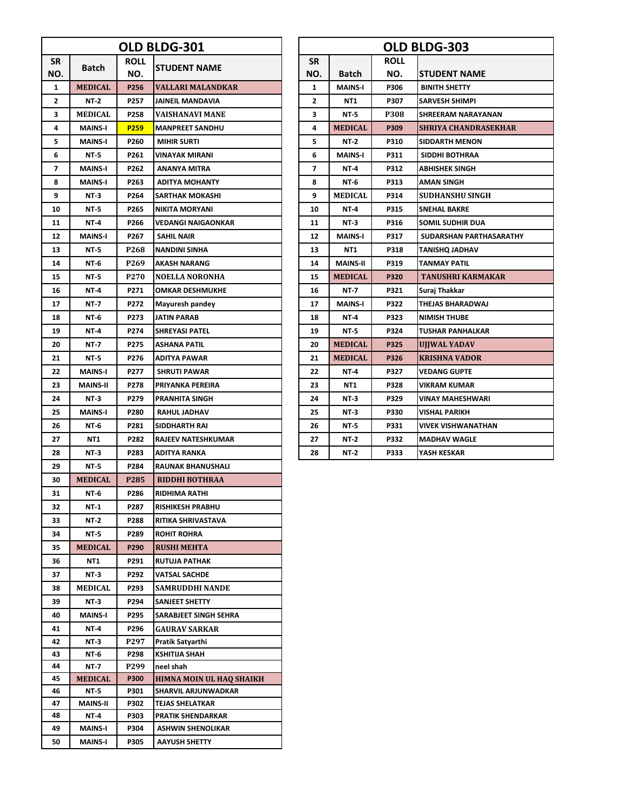|           | OLD BLDG-301        |                  |                                          |  | OLD BLDG-303 |                 |             |                             |  |  |
|-----------|---------------------|------------------|------------------------------------------|--|--------------|-----------------|-------------|-----------------------------|--|--|
| <b>SR</b> | Batch               | <b>ROLL</b>      |                                          |  | <b>SR</b>    |                 | <b>ROLL</b> |                             |  |  |
| NO.       |                     | NO.              | <b>STUDENT NAME</b>                      |  | NO.          | Batch           | NO.         | STUDENT NAME                |  |  |
| 1         | <b>MEDICAL</b>      | P256             | VALLARI MALANDKAR                        |  | 1            | <b>MAINS-I</b>  | P306        | <b>BINITH SHETTY</b>        |  |  |
| 2         | NT-2                | P257             | <b>JAINEIL MANDAVIA</b>                  |  | 2            | NT1             | P307        | SARVESH SHIMPI              |  |  |
| 3         | <b>MEDICAL</b>      | P258             | VAISHANAVI MANE                          |  | 3            | NT-5            | <b>P308</b> | SHREERAM NARAYANAN          |  |  |
| 4         | <b>MAINS-I</b>      | P <sub>259</sub> | <b>MANPREET SANDHU</b>                   |  | 4            | <b>MEDICAL</b>  | P309        | <b>SHRIYA CHANDRASEKHAR</b> |  |  |
| 5         | <b>MAINS-I</b>      | P260             | <b>MIHIR SURTI</b>                       |  | 5            | NT-2            | P310        | <b>SIDDARTH MENON</b>       |  |  |
| 6         | NT-5                | P261             | VINAYAK MIRANI                           |  | 6            | <b>MAINS-I</b>  | P311        | SIDDHI BOTHRAA              |  |  |
| 7         | <b>MAINS-I</b>      | P262             | ANANYA MITRA                             |  | 7            | NT-4            | P312        | ABHISHEK SINGH              |  |  |
| 8         | <b>MAINS-I</b>      | P263             | <b>ADITYA MOHANTY</b>                    |  | 8            | NT-6            | P313        | AMAN SINGH                  |  |  |
| 9         | NT-3                | P264             | <b>SARTHAK MOKASHI</b>                   |  | 9            | <b>MEDICAL</b>  | P314        | <b>SUDHANSHU SINGH</b>      |  |  |
| 10        | NT-5                | P265             | NIKITA MORYANI                           |  | 10           | NT-4            | P315        | <b>SNEHAL BAKRE</b>         |  |  |
| 11        | NT-4                | P266             | VEDANGI NAIGAONKAR                       |  | 11           | NT-3            | P316        | SOMIL SUDHIR DUA            |  |  |
| 12        | <b>MAINS-I</b>      | P267             | SAHIL NAIR                               |  | 12           | <b>MAINS-I</b>  | P317        | SUDARSHAN PARTHASARATHY     |  |  |
| 13        | <b>NT-5</b>         | P268             | <b>NANDINI SINHA</b>                     |  | 13           | NT1             | P318        | <b>TANISHQ JADHAV</b>       |  |  |
| 14        | NT-6                | P269             | <b>AKASH NARANG</b>                      |  | 14           | <b>MAINS-II</b> | P319        | TANMAY PATIL                |  |  |
| 15        | <b>NT-5</b>         | P <sub>270</sub> | <b>NOELLA NORONHA</b>                    |  | 15           | <b>MEDICAL</b>  | P320        | <b>TANUSHRI KARMAKAR</b>    |  |  |
| 16        | NT-4                | P271             | <b>OMKAR DESHMUKHE</b>                   |  | 16           | NT-7            | P321        | Suraj Thakkar               |  |  |
| 17        | NT-7                | P272             | Mayuresh pandey                          |  | 17           | <b>MAINS-I</b>  | P322        | THEJAS BHARADWAJ            |  |  |
| 18        | NT-6                | P273             | <b>JATIN PARAB</b>                       |  | 18           | NT-4            | P323        | <b>NIMISH THUBE</b>         |  |  |
| 19        | NT-4                | P274             | <b>SHREYASI PATEL</b>                    |  | 19           | NT-5            | P324        | TUSHAR PANHALKAR            |  |  |
| 20        | NT-7                | P275             | ASHANA PATIL                             |  | 20           | <b>MEDICAL</b>  | P325        | UJJWAL YADAV                |  |  |
| 21        | NT-5                | P276             | ADITYA PAWAR                             |  | 21           | <b>MEDICAL</b>  | P326        | KRISHNA VADOR               |  |  |
| 22        | <b>MAINS-I</b>      | P277             | <b>SHRUTI PAWAR</b>                      |  | 22           | NT-4            | P327        | VEDANG GUPTE                |  |  |
| 23        | <b>MAINS-II</b>     | P278             | PRIYANKA PEREIRA                         |  | 23           | NT1             | P328        | VIKRAM KUMAR                |  |  |
| 24        | NT-3                | P279             | <b>PRANHITA SINGH</b>                    |  | 24           | NT-3            | P329        | VINAY MAHESHWARI            |  |  |
| 25        | <b>MAINS-I</b>      | P280             | <b>RAHUL JADHAV</b>                      |  | 25           | NT-3            | P330        | VISHAL PARIKH               |  |  |
| 26        | NT-6                | P281             | SIDDHARTH RAI                            |  | 26           | NT-5            | P331        | VIVEK VISHWANATHAN          |  |  |
| 27        | NT1                 | P282             | <b>RAJEEV NATESHKUMAR</b>                |  | 27           | NT-2            | P332        | <b>MADHAV WAGLE</b>         |  |  |
| 28        | NT-3                | P283             | <b>ADITYA RANKA</b>                      |  | 28           | NT-2            | P333        | YASH KESKAR                 |  |  |
| 29        | NT-5                | P284             | <b>RAUNAK BHANUSHALI</b>                 |  |              |                 |             |                             |  |  |
| 30        | <b>MEDICAL</b>      | P285             | <b>RIDDHI BOTHRAA</b>                    |  |              |                 |             |                             |  |  |
| 31        | NT-6                | P286             | <b>RIDHIMA RATHI</b>                     |  |              |                 |             |                             |  |  |
| 32        | <b>NT-1</b>         | P287             | <b>RISHIKESH PRABHU</b>                  |  |              |                 |             |                             |  |  |
| 33        | <b>NT-2</b>         | P288             | RITIKA SHRIVASTAVA                       |  |              |                 |             |                             |  |  |
| 34        | NT-5                | P289             | <b>ROHIT ROHRA</b>                       |  |              |                 |             |                             |  |  |
| 35        | MEDICAL             | P290             | <b>RUSHI MEHTA</b>                       |  |              |                 |             |                             |  |  |
| 36        | NT1                 | P291             | <b>RUTUJA PATHAK</b>                     |  |              |                 |             |                             |  |  |
| 37        | NT-3                | P292             | VATSAL SACHDE                            |  |              |                 |             |                             |  |  |
| 38        | MEDICAL             | P293             | <b>SAMRUDDHI NANDE</b>                   |  |              |                 |             |                             |  |  |
| 39        | <b>NT-3</b>         | P294             | <b>SANJEET SHETTY</b>                    |  |              |                 |             |                             |  |  |
| 40        |                     |                  |                                          |  |              |                 |             |                             |  |  |
|           | <b>MAINS-I</b>      | P295<br>P296     | SARABJEET SINGH SEHRA                    |  |              |                 |             |                             |  |  |
| 41<br>42  | NT-4<br><b>NT-3</b> | P297             | <b>GAURAV SARKAR</b><br>Pratik Satyarthi |  |              |                 |             |                             |  |  |
| 43        | NT-6                | P298             | <b>KSHITIJA SHAH</b>                     |  |              |                 |             |                             |  |  |
| 44        | NT-7                | P299             | neel shah                                |  |              |                 |             |                             |  |  |
| 45        | <b>MEDICAL</b>      | <b>P300</b>      | <b>HIMNA MOIN UL HAQ SHAIKH</b>          |  |              |                 |             |                             |  |  |
| 46        | NT-5                | P301             | SHARVIL ARJUNWADKAR                      |  |              |                 |             |                             |  |  |
| 47        | <b>MAINS-II</b>     | P302             | <b>TEJAS SHELATKAR</b>                   |  |              |                 |             |                             |  |  |
| 48        | NT-4                | P303             | <b>PRATIK SHENDARKAR</b>                 |  |              |                 |             |                             |  |  |
| 49        | <b>MAINS-I</b>      | P304             | <b>ASHWIN SHENOLIKAR</b>                 |  |              |                 |             |                             |  |  |
| 50        | <b>MAINS-I</b>      | P305             | <b>AAYUSH SHETTY</b>                     |  |              |                 |             |                             |  |  |

| OLD BLDG-303   |                 |             |                           |  |  |  |  |  |  |
|----------------|-----------------|-------------|---------------------------|--|--|--|--|--|--|
| <b>SR</b>      |                 | <b>ROLL</b> |                           |  |  |  |  |  |  |
| NO.            | Batch           | NO.         | <b>STUDENT NAME</b>       |  |  |  |  |  |  |
| 1              | <b>MAINS-I</b>  | P306        | <b>BINITH SHETTY</b>      |  |  |  |  |  |  |
| $\overline{2}$ | NT1             | P307        | SARVESH SHIMPI            |  |  |  |  |  |  |
| 3              | NT-5            | P308        | SHREERAM NARAYANAN        |  |  |  |  |  |  |
| 4              | <b>MEDICAL</b>  | P309        | SHRIYA CHANDRASEKHAR      |  |  |  |  |  |  |
| 5              | <b>NT-2</b>     | P310        | <b>SIDDARTH MENON</b>     |  |  |  |  |  |  |
| 6              | <b>MAINS-I</b>  | P311        | SIDDHI BOTHRAA            |  |  |  |  |  |  |
| 7              | NT-4            | P312        | ABHISHEK SINGH            |  |  |  |  |  |  |
| 8              | <b>NT-6</b>     | P313        | AMAN SINGH                |  |  |  |  |  |  |
| 9              | <b>MEDICAL</b>  | P314        | SUDHANSHU SINGH           |  |  |  |  |  |  |
| 10             | NT-4            | <b>P315</b> | <b>SNEHAL BAKRE</b>       |  |  |  |  |  |  |
| 11             | NT 3            | P316        | SOMIL SUDHIR DUA          |  |  |  |  |  |  |
| 12             | <b>MAINS-I</b>  | P317        | SUDARSHAN PARTHASARATHY   |  |  |  |  |  |  |
| 13             | NT <sub>1</sub> | P318        | TANISHQ JADHAV            |  |  |  |  |  |  |
| 14             | <b>MAINS-II</b> | P319        | TANMAY PATIL              |  |  |  |  |  |  |
| 15             | <b>MEDICAL</b>  | P320        | <b>TANUSHRI KARMAKAR</b>  |  |  |  |  |  |  |
| 16             | NT-7            | P321        | Suraj Thakkar             |  |  |  |  |  |  |
| 17             | <b>MAINS-I</b>  | P322        | THEJAS BHARADWAJ          |  |  |  |  |  |  |
| 18             | <b>NT-4</b>     | P323        | <b>NIMISH THUBE</b>       |  |  |  |  |  |  |
| 19             | NT-5            | P324        | <b>TUSHAR PANHALKAR</b>   |  |  |  |  |  |  |
| 20             | <b>MEDICAL</b>  | <b>P325</b> | UJJWAL YADAV              |  |  |  |  |  |  |
| 21             | <b>MEDICAL</b>  | P326        | <b>KRISHNA VADOR</b>      |  |  |  |  |  |  |
| 22             | <b>NT-4</b>     | P327        | VEDANG GUPTE              |  |  |  |  |  |  |
| 23             | NT <sub>1</sub> | P328        | VIKRAM KUMAR              |  |  |  |  |  |  |
| 24             | <b>NT-3</b>     | P329        | <b>VINAY MAHESHWARI</b>   |  |  |  |  |  |  |
| 25             | <b>NT-3</b>     | P330        | VISHAL PARIKH             |  |  |  |  |  |  |
| 26             | NT-5            | P331        | <b>VIVEK VISHWANATHAN</b> |  |  |  |  |  |  |
| 27             | NT-2            | P332        | <b>MADHAV WAGLE</b>       |  |  |  |  |  |  |
| 28             | NT-2            | P333        | YASH KESKAR               |  |  |  |  |  |  |